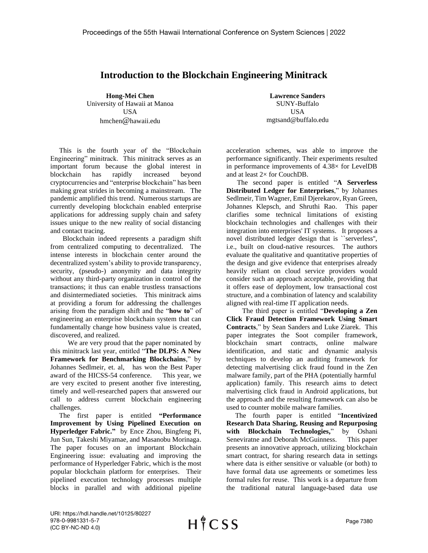## **Introduction to the Blockchain Engineering Minitrack**

**Hong-Mei Chen** University of Hawaii at Manoa USA hmchen@hawaii.edu

 This is the fourth year of the "Blockchain Engineering" minitrack. This minitrack serves as an important forum because the global interest in blockchain has rapidly increased beyond cryptocurrencies and "enterprise blockchain" has been making great strides in becoming a mainstream. The pandemic amplified this trend. Numerous startups are currently developing blockchain enabled enterprise applications for addressing supply chain and safety issues unique to the new reality of social distancing and contact tracing.

 Blockchain indeed represents a paradigm shift from centralized computing to decentralized. The intense interests in blockchain center around the decentralized system's ability to provide transparency, security, (pseudo-) anonymity and data integrity without any third-party organization in control of the transactions; it thus can enable trustless transactions and disintermediated societies. This minitrack aims at providing a forum for addressing the challenges arising from the paradigm shift and the "**how to**" of engineering an enterprise blockchain system that can fundamentally change how business value is created, discovered, and realized.

 We are very proud that the paper nominated by this minitrack last year, entitled "**The DLPS: A New Framework for Benchmarking Blockchains**," by Johannes Sedlmeir, et. al, has won the Best Paper award of the HICSS-54 conference. This year, we are very excited to present another five interesting, timely and well-researched papers that answered our call to address current blockchain engineering challenges.

 The first paper is entitled **"Performance Improvement by Using Pipelined Execution on Hyperledger Fabric."** by Ence Zhou, Bingfeng Pi, Jun Sun, Takeshi Miyamae, and Masanobu Morinaga. The paper focuses on an important Blockchain Engineering issue: evaluating and improving the performance of Hyperledger Fabric, which is the most popular blockchain platform for enterprises. Their pipelined execution technology processes multiple blocks in parallel and with additional pipeline

**Lawrence Sanders** SUNY-Buffalo USA mgtsand@buffalo.edu

acceleration schemes, was able to improve the performance significantly. Their experiments resulted in performance improvements of 4.38× for LevelDB and at least 2× for CouchDB.

 The second paper is entitled "**A Serverless Distributed Ledger for Enterprises**," by Johannes Sedlmeir, Tim Wagner, Emil Djerekarov, Ryan Green, Johannes Klepsch, and Shruthi Rao. This paper clarifies some technical limitations of existing blockchain technologies and challenges with their integration into enterprises' IT systems. It proposes a novel distributed ledger design that is ``serverless'', i.e., built on cloud-native resources. The authors evaluate the qualitative and quantitative properties of the design and give evidence that enterprises already heavily reliant on cloud service providers would consider such an approach acceptable, providing that it offers ease of deployment, low transactional cost structure, and a combination of latency and scalability aligned with real-time IT application needs.

 The third paper is entitled "**Developing a Zen Click Fraud Detection Framework Using Smart Contracts**," by Sean Sanders and Luke Ziarek. This paper integrates the Soot compiler framework, blockchain smart contracts, online malware identification, and static and dynamic analysis techniques to develop an auditing framework for detecting malvertising click fraud found in the Zen malware family, part of the PHA (potentially harmful application) family. This research aims to detect malvertising click fraud in Android applications, but the approach and the resulting framework can also be used to counter mobile malware families.

 The fourth paper is entitled "**Incentivized Research Data Sharing, Reusing and Repurposing with Blockchain Technologies,**" by Oshani Seneviratne and Deborah McGuinness. This paper presents an innovative approach, utilizing blockchain smart contract, for sharing research data in settings where data is either sensitive or valuable (or both) to have formal data use agreements or sometimes less formal rules for reuse. This work is a departure from the traditional natural language-based data use

URI: https://hdl.handle.net/10125/80227 978-0-9981331-5-7 (CC BY-NC-ND 4.0)